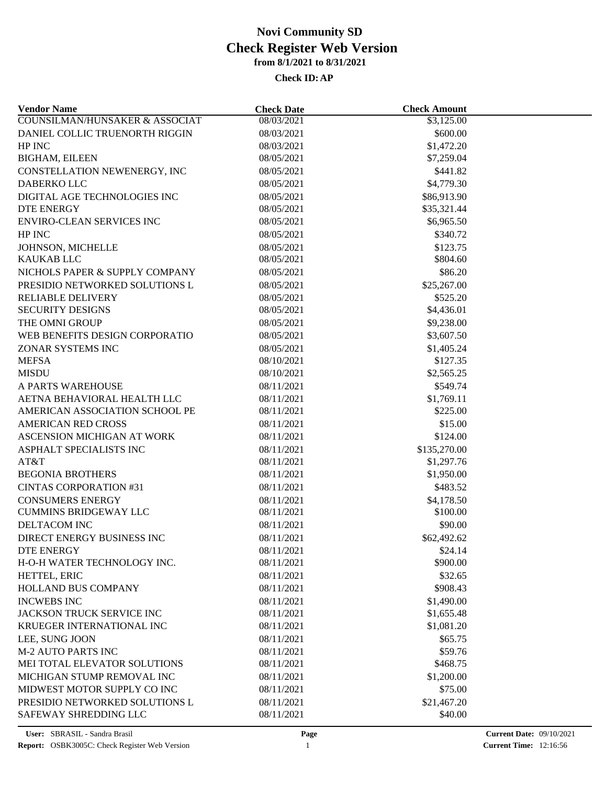| <b>Vendor Name</b>                                            | <b>Check Date</b>        | <b>Check Amount</b>    |  |
|---------------------------------------------------------------|--------------------------|------------------------|--|
| <b>COUNSILMAN/HUNSAKER &amp; ASSOCIAT</b>                     | 08/03/2021               | \$3,125.00             |  |
| DANIEL COLLIC TRUENORTH RIGGIN                                | 08/03/2021               | \$600.00               |  |
| HP INC                                                        | 08/03/2021               | \$1,472.20             |  |
| <b>BIGHAM, EILEEN</b>                                         | 08/05/2021               | \$7,259.04             |  |
| CONSTELLATION NEWENERGY, INC                                  | 08/05/2021               | \$441.82               |  |
| DABERKO LLC                                                   | 08/05/2021               | \$4,779.30             |  |
| DIGITAL AGE TECHNOLOGIES INC                                  | 08/05/2021               | \$86,913.90            |  |
| <b>DTE ENERGY</b>                                             | 08/05/2021               | \$35,321.44            |  |
| <b>ENVIRO-CLEAN SERVICES INC</b>                              | 08/05/2021               | \$6,965.50             |  |
| HP INC                                                        | 08/05/2021               | \$340.72               |  |
| JOHNSON, MICHELLE                                             | 08/05/2021               | \$123.75               |  |
| <b>KAUKAB LLC</b>                                             | 08/05/2021               | \$804.60               |  |
| NICHOLS PAPER & SUPPLY COMPANY                                | 08/05/2021               | \$86.20                |  |
| PRESIDIO NETWORKED SOLUTIONS L                                | 08/05/2021               | \$25,267.00            |  |
| <b>RELIABLE DELIVERY</b>                                      | 08/05/2021               | \$525.20               |  |
| <b>SECURITY DESIGNS</b>                                       | 08/05/2021               | \$4,436.01             |  |
| THE OMNI GROUP                                                | 08/05/2021               | \$9,238.00             |  |
| WEB BENEFITS DESIGN CORPORATIO                                | 08/05/2021               | \$3,607.50             |  |
| ZONAR SYSTEMS INC                                             | 08/05/2021               | \$1,405.24             |  |
| <b>MEFSA</b>                                                  | 08/10/2021               | \$127.35               |  |
| <b>MISDU</b>                                                  | 08/10/2021               | \$2,565.25             |  |
| A PARTS WAREHOUSE                                             | 08/11/2021               | \$549.74               |  |
|                                                               |                          |                        |  |
| AETNA BEHAVIORAL HEALTH LLC<br>AMERICAN ASSOCIATION SCHOOL PE | 08/11/2021<br>08/11/2021 | \$1,769.11<br>\$225.00 |  |
|                                                               |                          | \$15.00                |  |
| <b>AMERICAN RED CROSS</b>                                     | 08/11/2021               |                        |  |
| ASCENSION MICHIGAN AT WORK                                    | 08/11/2021               | \$124.00               |  |
| ASPHALT SPECIALISTS INC                                       | 08/11/2021               | \$135,270.00           |  |
| AT&T                                                          | 08/11/2021               | \$1,297.76             |  |
| <b>BEGONIA BROTHERS</b>                                       | 08/11/2021               | \$1,950.00             |  |
| <b>CINTAS CORPORATION #31</b>                                 | 08/11/2021               | \$483.52               |  |
| <b>CONSUMERS ENERGY</b>                                       | 08/11/2021               | \$4,178.50             |  |
| <b>CUMMINS BRIDGEWAY LLC</b>                                  | 08/11/2021               | \$100.00               |  |
| DELTACOM INC                                                  | 08/11/2021               | \$90.00                |  |
| DIRECT ENERGY BUSINESS INC                                    | 08/11/2021               | \$62,492.62            |  |
| <b>DTE ENERGY</b>                                             | 08/11/2021               | \$24.14                |  |
| H-O-H WATER TECHNOLOGY INC.                                   | 08/11/2021               | \$900.00               |  |
| HETTEL, ERIC                                                  | 08/11/2021               | \$32.65                |  |
| HOLLAND BUS COMPANY                                           | 08/11/2021               | \$908.43               |  |
| <b>INCWEBS INC</b>                                            | 08/11/2021               | \$1,490.00             |  |
| JACKSON TRUCK SERVICE INC                                     | 08/11/2021               | \$1,655.48             |  |
| KRUEGER INTERNATIONAL INC                                     | 08/11/2021               | \$1,081.20             |  |
| LEE, SUNG JOON                                                | 08/11/2021               | \$65.75                |  |
| <b>M-2 AUTO PARTS INC</b>                                     | 08/11/2021               | \$59.76                |  |
| MEI TOTAL ELEVATOR SOLUTIONS                                  | 08/11/2021               | \$468.75               |  |
| MICHIGAN STUMP REMOVAL INC                                    | 08/11/2021               | \$1,200.00             |  |
| MIDWEST MOTOR SUPPLY CO INC                                   | 08/11/2021               | \$75.00                |  |
| PRESIDIO NETWORKED SOLUTIONS L                                | 08/11/2021               | \$21,467.20            |  |
| SAFEWAY SHREDDING LLC                                         | 08/11/2021               | \$40.00                |  |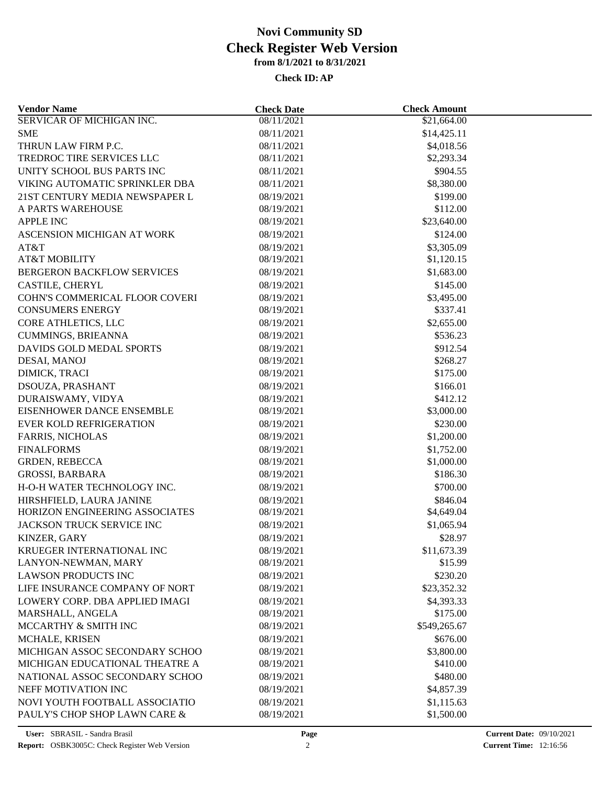| <b>Vendor Name</b>                | <b>Check Date</b> | <b>Check Amount</b>    |  |
|-----------------------------------|-------------------|------------------------|--|
| <b>SERVICAR OF MICHIGAN INC.</b>  | 08/11/2021        | \$21,664.00            |  |
| <b>SME</b>                        | 08/11/2021        | \$14,425.11            |  |
| THRUN LAW FIRM P.C.               | 08/11/2021        | \$4,018.56             |  |
| TREDROC TIRE SERVICES LLC         | 08/11/2021        | \$2,293.34             |  |
| UNITY SCHOOL BUS PARTS INC        | 08/11/2021        | \$904.55               |  |
| VIKING AUTOMATIC SPRINKLER DBA    | 08/11/2021        | \$8,380.00             |  |
| 21ST CENTURY MEDIA NEWSPAPER L    | 08/19/2021        | \$199.00               |  |
| A PARTS WAREHOUSE                 | 08/19/2021        | \$112.00               |  |
| <b>APPLE INC</b>                  | 08/19/2021        | \$23,640.00            |  |
| ASCENSION MICHIGAN AT WORK        | 08/19/2021        | \$124.00               |  |
| AT&T                              | 08/19/2021        | \$3,305.09             |  |
| <b>AT&amp;T MOBILITY</b>          | 08/19/2021        | \$1,120.15             |  |
| <b>BERGERON BACKFLOW SERVICES</b> | 08/19/2021        | \$1,683.00             |  |
| CASTILE, CHERYL                   | 08/19/2021        | \$145.00               |  |
| COHN'S COMMERICAL FLOOR COVERI    | 08/19/2021        | \$3,495.00             |  |
| <b>CONSUMERS ENERGY</b>           | 08/19/2021        | \$337.41               |  |
| CORE ATHLETICS, LLC               | 08/19/2021        | \$2,655.00             |  |
| <b>CUMMINGS, BRIEANNA</b>         | 08/19/2021        | \$536.23               |  |
| DAVIDS GOLD MEDAL SPORTS          | 08/19/2021        | \$912.54               |  |
| DESAI, MANOJ                      | 08/19/2021        | \$268.27               |  |
| DIMICK, TRACI                     | 08/19/2021        | \$175.00               |  |
| DSOUZA, PRASHANT                  | 08/19/2021        | \$166.01               |  |
| DURAISWAMY, VIDYA                 | 08/19/2021        | \$412.12               |  |
| EISENHOWER DANCE ENSEMBLE         | 08/19/2021        | \$3,000.00             |  |
| <b>EVER KOLD REFRIGERATION</b>    | 08/19/2021        | \$230.00               |  |
| <b>FARRIS, NICHOLAS</b>           | 08/19/2021        | \$1,200.00             |  |
| <b>FINALFORMS</b>                 | 08/19/2021        | \$1,752.00             |  |
| <b>GRDEN, REBECCA</b>             | 08/19/2021        | \$1,000.00             |  |
| <b>GROSSI, BARBARA</b>            | 08/19/2021        | \$186.30               |  |
| H-O-H WATER TECHNOLOGY INC.       | 08/19/2021        | \$700.00               |  |
| HIRSHFIELD, LAURA JANINE          | 08/19/2021        | \$846.04               |  |
| HORIZON ENGINEERING ASSOCIATES    | 08/19/2021        | \$4,649.04             |  |
| JACKSON TRUCK SERVICE INC         | 08/19/2021        | \$1,065.94             |  |
| KINZER, GARY                      | 08/19/2021        | \$28.97                |  |
| KRUEGER INTERNATIONAL INC         | 08/19/2021        |                        |  |
| LANYON-NEWMAN, MARY               | 08/19/2021        | \$11,673.39<br>\$15.99 |  |
|                                   |                   |                        |  |
| <b>LAWSON PRODUCTS INC</b>        | 08/19/2021        | \$230.20               |  |
| LIFE INSURANCE COMPANY OF NORT    | 08/19/2021        | \$23,352.32            |  |
| LOWERY CORP. DBA APPLIED IMAGI    | 08/19/2021        | \$4,393.33             |  |
| MARSHALL, ANGELA                  | 08/19/2021        | \$175.00               |  |
| MCCARTHY & SMITH INC              | 08/19/2021        | \$549,265.67           |  |
| MCHALE, KRISEN                    | 08/19/2021        | \$676.00               |  |
| MICHIGAN ASSOC SECONDARY SCHOO    | 08/19/2021        | \$3,800.00             |  |
| MICHIGAN EDUCATIONAL THEATRE A    | 08/19/2021        | \$410.00               |  |
| NATIONAL ASSOC SECONDARY SCHOO    | 08/19/2021        | \$480.00               |  |
| NEFF MOTIVATION INC               | 08/19/2021        | \$4,857.39             |  |
| NOVI YOUTH FOOTBALL ASSOCIATIO    | 08/19/2021        | \$1,115.63             |  |
| PAULY'S CHOP SHOP LAWN CARE &     | 08/19/2021        | \$1,500.00             |  |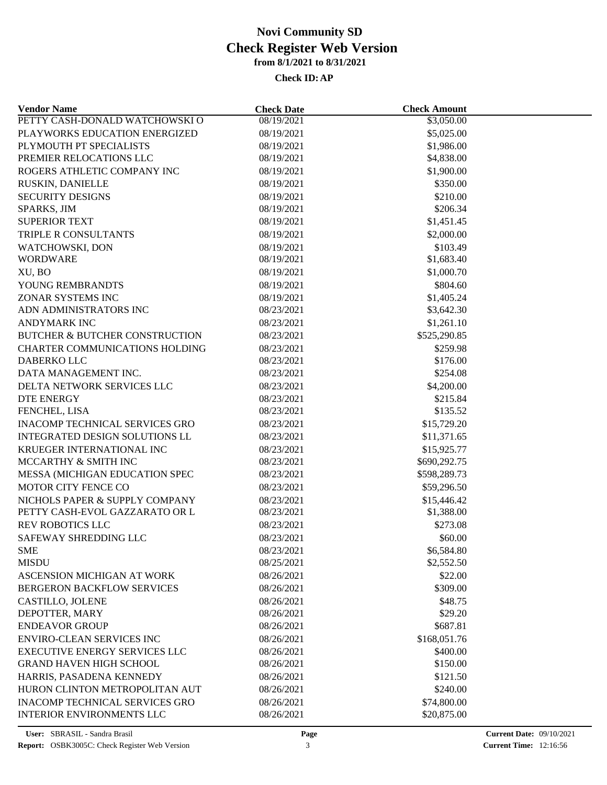| <b>Vendor Name</b>                        | <b>Check Date</b> | <b>Check Amount</b>  |  |
|-------------------------------------------|-------------------|----------------------|--|
| PETTY CASH-DONALD WATCHOWSKI O            | 08/19/2021        | \$3,050.00           |  |
| PLAYWORKS EDUCATION ENERGIZED             | 08/19/2021        | \$5,025.00           |  |
| PLYMOUTH PT SPECIALISTS                   | 08/19/2021        | \$1,986.00           |  |
| PREMIER RELOCATIONS LLC                   | 08/19/2021        | \$4,838.00           |  |
| ROGERS ATHLETIC COMPANY INC               | 08/19/2021        | \$1,900.00           |  |
| RUSKIN, DANIELLE                          | 08/19/2021        | \$350.00             |  |
| <b>SECURITY DESIGNS</b>                   | 08/19/2021        | \$210.00             |  |
| SPARKS, JIM                               | 08/19/2021        | \$206.34             |  |
| <b>SUPERIOR TEXT</b>                      | 08/19/2021        | \$1,451.45           |  |
| TRIPLE R CONSULTANTS                      | 08/19/2021        | \$2,000.00           |  |
| WATCHOWSKI, DON                           | 08/19/2021        | \$103.49             |  |
| <b>WORDWARE</b>                           | 08/19/2021        | \$1,683.40           |  |
| XU, BO                                    | 08/19/2021        | \$1,000.70           |  |
| YOUNG REMBRANDTS                          | 08/19/2021        | \$804.60             |  |
| ZONAR SYSTEMS INC                         | 08/19/2021        | \$1,405.24           |  |
| ADN ADMINISTRATORS INC                    | 08/23/2021        | \$3,642.30           |  |
| <b>ANDYMARK INC</b>                       | 08/23/2021        | \$1,261.10           |  |
| <b>BUTCHER &amp; BUTCHER CONSTRUCTION</b> | 08/23/2021        | \$525,290.85         |  |
| CHARTER COMMUNICATIONS HOLDING            | 08/23/2021        | \$259.98             |  |
| DABERKO LLC                               | 08/23/2021        | \$176.00             |  |
| DATA MANAGEMENT INC.                      | 08/23/2021        | \$254.08             |  |
| DELTA NETWORK SERVICES LLC                | 08/23/2021        | \$4,200.00           |  |
| <b>DTE ENERGY</b>                         | 08/23/2021        | \$215.84             |  |
| FENCHEL, LISA                             | 08/23/2021        | \$135.52             |  |
| <b>INACOMP TECHNICAL SERVICES GRO</b>     | 08/23/2021        | \$15,729.20          |  |
| INTEGRATED DESIGN SOLUTIONS LL            | 08/23/2021        | \$11,371.65          |  |
| KRUEGER INTERNATIONAL INC                 | 08/23/2021        | \$15,925.77          |  |
| MCCARTHY & SMITH INC                      | 08/23/2021        | \$690,292.75         |  |
| MESSA (MICHIGAN EDUCATION SPEC            | 08/23/2021        | \$598,289.73         |  |
| MOTOR CITY FENCE CO                       | 08/23/2021        | \$59,296.50          |  |
| NICHOLS PAPER & SUPPLY COMPANY            | 08/23/2021        | \$15,446.42          |  |
| PETTY CASH-EVOL GAZZARATO OR L            | 08/23/2021        | \$1,388.00           |  |
| <b>REV ROBOTICS LLC</b>                   | 08/23/2021        | \$273.08             |  |
| SAFEWAY SHREDDING LLC                     | 08/23/2021        | \$60.00              |  |
| <b>SME</b>                                | 08/23/2021        | \$6,584.80           |  |
| <b>MISDU</b>                              | 08/25/2021        | \$2,552.50           |  |
| ASCENSION MICHIGAN AT WORK                | 08/26/2021        | \$22.00              |  |
| BERGERON BACKFLOW SERVICES                | 08/26/2021        | \$309.00             |  |
| CASTILLO, JOLENE                          | 08/26/2021        | \$48.75              |  |
| DEPOTTER, MARY                            | 08/26/2021        | \$29.20              |  |
| <b>ENDEAVOR GROUP</b>                     | 08/26/2021        | \$687.81             |  |
| <b>ENVIRO-CLEAN SERVICES INC</b>          | 08/26/2021        | \$168,051.76         |  |
|                                           |                   |                      |  |
| <b>EXECUTIVE ENERGY SERVICES LLC</b>      | 08/26/2021        | \$400.00<br>\$150.00 |  |
| <b>GRAND HAVEN HIGH SCHOOL</b>            | 08/26/2021        |                      |  |
| HARRIS, PASADENA KENNEDY                  | 08/26/2021        | \$121.50             |  |
| HURON CLINTON METROPOLITAN AUT            | 08/26/2021        | \$240.00             |  |
| <b>INACOMP TECHNICAL SERVICES GRO</b>     | 08/26/2021        | \$74,800.00          |  |
| <b>INTERIOR ENVIRONMENTS LLC</b>          | 08/26/2021        | \$20,875.00          |  |